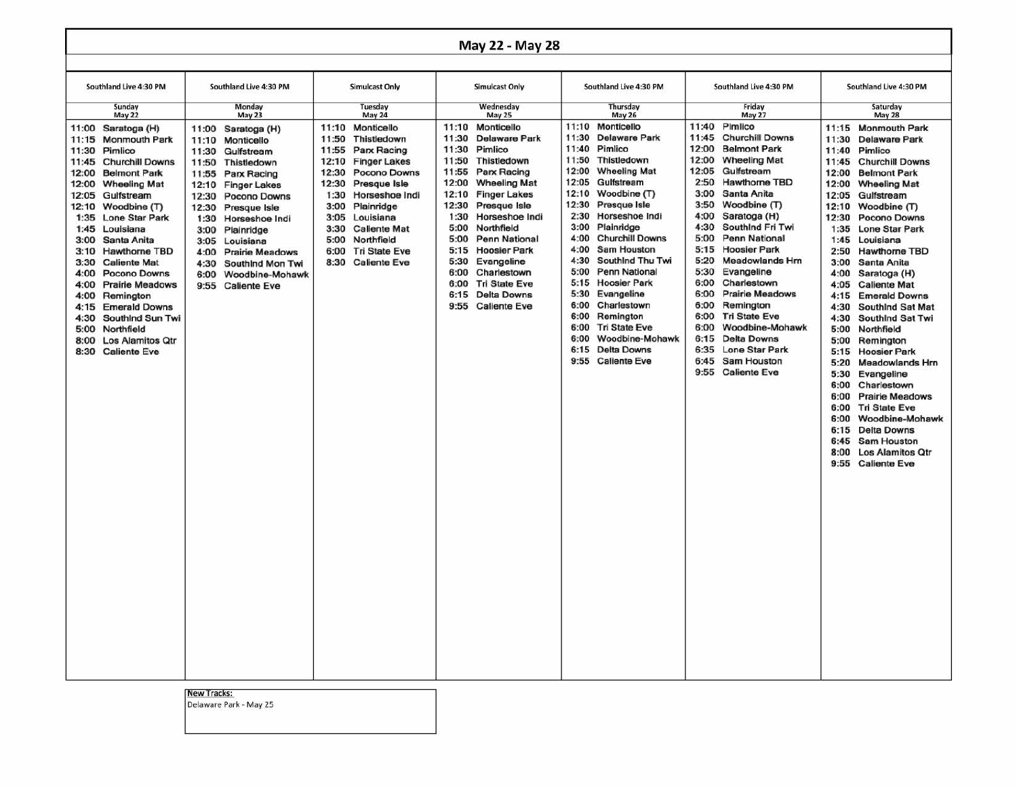## May 22 - May 28

| Southland Live 4:30 PM                                                                                                                                                                                                                                                                                                                                                                                                                                                                                                                                                                             | Southland Live 4:30 PM                                                                                                                                                                                                                                                                                                                                                                          | <b>Simulcast Only</b>                                                                                                                                                                                                                                                                                                                                 | <b>Simulcast Only</b>                                                                                                                                                                                                                                                                                                                                                                                                                                               | Southland Live 4:30 PM                                                                                                                                                                                                                                                                                                                                                                                                                                                                                                                                                                                         | Southland Live 4:30 PM                                                                                                                                                                                                                                                                                                                                                                                                                                                                                                                                                                                                                                     | Southland Live 4:30 PM                                                                                                                                                                                                                                                                                                                                                                                                                                                                                                                                                                                                                                                                                                                                                                                                                                                                 |
|----------------------------------------------------------------------------------------------------------------------------------------------------------------------------------------------------------------------------------------------------------------------------------------------------------------------------------------------------------------------------------------------------------------------------------------------------------------------------------------------------------------------------------------------------------------------------------------------------|-------------------------------------------------------------------------------------------------------------------------------------------------------------------------------------------------------------------------------------------------------------------------------------------------------------------------------------------------------------------------------------------------|-------------------------------------------------------------------------------------------------------------------------------------------------------------------------------------------------------------------------------------------------------------------------------------------------------------------------------------------------------|---------------------------------------------------------------------------------------------------------------------------------------------------------------------------------------------------------------------------------------------------------------------------------------------------------------------------------------------------------------------------------------------------------------------------------------------------------------------|----------------------------------------------------------------------------------------------------------------------------------------------------------------------------------------------------------------------------------------------------------------------------------------------------------------------------------------------------------------------------------------------------------------------------------------------------------------------------------------------------------------------------------------------------------------------------------------------------------------|------------------------------------------------------------------------------------------------------------------------------------------------------------------------------------------------------------------------------------------------------------------------------------------------------------------------------------------------------------------------------------------------------------------------------------------------------------------------------------------------------------------------------------------------------------------------------------------------------------------------------------------------------------|----------------------------------------------------------------------------------------------------------------------------------------------------------------------------------------------------------------------------------------------------------------------------------------------------------------------------------------------------------------------------------------------------------------------------------------------------------------------------------------------------------------------------------------------------------------------------------------------------------------------------------------------------------------------------------------------------------------------------------------------------------------------------------------------------------------------------------------------------------------------------------------|
| Sunday<br><b>May 22</b>                                                                                                                                                                                                                                                                                                                                                                                                                                                                                                                                                                            | Monday<br><b>May 23</b>                                                                                                                                                                                                                                                                                                                                                                         | <b>Tuesday</b><br><b>May 24</b>                                                                                                                                                                                                                                                                                                                       | Wednesday<br>May 25                                                                                                                                                                                                                                                                                                                                                                                                                                                 | <b>Thursday</b><br><b>May 26</b>                                                                                                                                                                                                                                                                                                                                                                                                                                                                                                                                                                               | Friday<br><b>May 27</b>                                                                                                                                                                                                                                                                                                                                                                                                                                                                                                                                                                                                                                    | Saturday<br><b>May 28</b>                                                                                                                                                                                                                                                                                                                                                                                                                                                                                                                                                                                                                                                                                                                                                                                                                                                              |
| 11:00 Saratoga (H)<br>11:15<br><b>Monmouth Park</b><br>11:30<br>Pimlico<br><b>Churchill Downs</b><br>11:45<br>12:00<br><b>Belmont Park</b><br>12:00<br><b>Wheeling Mat</b><br>Gulfstream<br>12:05<br>Woodbine (T)<br>12:10<br>1:35<br><b>Lone Star Park</b><br>1:45<br>Louisiana<br>3:00<br>Santa Anita<br><b>Hawthorne TBD</b><br>3:10<br>3:30<br><b>Caliente Mat</b><br>4:00<br>Pocono Downs<br>4:00<br><b>Prairie Meadows</b><br>Remington<br>4:00<br><b>Emerald Downs</b><br>4:15<br>4:30<br>SouthInd Sun Twi<br>5:00<br>Northfield<br>Los Alamitos Qtr<br>8:00<br>8:30<br><b>Caliente Eve</b> | 11:00<br>Saratoga (H)<br>Monticello<br>11:10<br>11:30<br>Gulfstream<br>11:50<br>Thistledown<br>11:55<br>Parx Racing<br>12:10<br><b>Finger Lakes</b><br>12:30<br><b>Pocono Downs</b><br>12:30<br>Presque Isle<br>1:30<br>Horseshoe Indi<br>3:00<br>Plainridge<br>3:05<br>Louisiana<br>4:00<br><b>Prairie Meadows</b><br>4:30<br>Southind Mon Twi<br>6:00<br>Woodbine-Mohawk<br>9:55 Caliente Eve | Monticello<br>11:10<br>11:50<br>Thistledown<br>11:55<br>Parx Racing<br>12:10<br><b>Finger Lakes</b><br>12:30<br><b>Pocono Downs</b><br>12:30<br>Presque Isle<br>1:30<br>Horseshoe Indi<br>Plainridge<br>3:00<br>3:05<br>Louisiana<br>3:30<br><b>Caliente Mat</b><br>5:00<br>Northfield<br><b>Tri State Eve</b><br>6:00<br>8:30<br><b>Caliente Eve</b> | 11:10<br>Monticello<br>11:30<br><b>Delaware Park</b><br>11:30<br>Pimlico<br>11:50<br>Thistledown<br>Parx Racing<br>11:55<br>12:00<br><b>Wheeling Mat</b><br>12:10<br><b>Finger Lakes</b><br>12:30<br>Presque Isle<br>1:30<br>Horseshoe Indi<br>5:00<br>Northfield<br>5:00<br>Penn National<br><b>Hoosier Park</b><br>5:15<br>5:30<br>Evangeline<br>Charlestown<br>6:00<br>6:00<br><b>Tri State Eve</b><br><b>Delta Downs</b><br>6:15<br><b>Caliente Eve</b><br>9:55 | 11:10<br>Monticello<br>11:30<br><b>Delaware Park</b><br>11:40<br>Pimlico<br>11:50<br>Thistledown<br>12:00<br><b>Wheeling Mat</b><br>12:05<br>Gulfstream<br>12:10<br>Woodbine (T)<br>12:30<br>Presque Isle<br>2:30<br>Horseshoe Indi<br>Plainridge<br>3:00<br>4:00<br><b>Churchill Downs</b><br>4:00<br><b>Sam Houston</b><br>4:30<br>Southind Thu Twi<br>5:00<br><b>Penn National</b><br><b>Hoosier Park</b><br>5:15<br>5:30<br>Evangeline<br>6:00<br>Charlestown<br>6:00<br>Remington<br>6:00<br><b>Tri State Eve</b><br>6:00<br>Woodbine-Mohawk<br><b>Delta Downs</b><br>6:15<br>9:55<br><b>Caliente Eve</b> | Pimlico<br>11:40<br>11:45<br><b>Churchill Downs</b><br>12:00<br><b>Belmont Park</b><br>12:00<br><b>Wheeling Mat</b><br>12:05<br>Gulfstream<br>2:50<br><b>Hawthorne TBD</b><br>3:00<br>Santa Anita<br>Woodbine (T)<br>3:50<br>4:00<br>Saratoga (H)<br>4:30<br>SouthInd Fri Twi<br>5:00<br>Penn National<br>5:15<br><b>Hoosier Park</b><br>5:20<br><b>Meadowlands Hm</b><br>5:30<br>Evangeline<br>6:00<br>Charlestown<br>6:00<br><b>Prairie Meadows</b><br>6:00<br>Remington<br><b>Tri State Eve</b><br>6:00<br>Woodbine-Mohawk<br>6:00<br><b>Delta Downs</b><br>6:15<br><b>Lone Star Park</b><br>6:35<br>6:45<br>Sam Houston<br>9:55<br><b>Caliente Eve</b> | 11:15 Monmouth Park<br>11:30<br><b>Delaware Park</b><br>Pimlico<br>11:40<br>11:45<br><b>Churchill Downs</b><br>12:00<br><b>Belmont Park</b><br>12:00<br><b>Wheeling Mat</b><br>12:05<br>Gulfstream<br>12:10<br>Woodbine (T)<br>12:30<br>Pocono Downs<br>1:35<br><b>Lone Star Park</b><br>1:45<br>Louisiana<br>2:50<br><b>Hawthorne TBD</b><br>3:00<br>Santa Anita<br>4:00<br>Saratoga (H)<br>4:05<br><b>Caliente Mat</b><br><b>Emerald Downs</b><br>4:15<br>4:30<br>Southind Sat Mat<br>4:30<br>Southind Sat Twi<br>5:00<br>Northfield<br>5:00<br>Remington<br>5:15<br><b>Hoosier Park</b><br>5:20<br>Meadowlands Hrn<br>5:30<br>Evangeline<br>6:00<br>Charlestown<br>6:00<br><b>Prairie Meadows</b><br>6:00<br><b>Tri State Eve</b><br>6:00<br>Woodbine-Mohawk<br>6:15<br><b>Delta Downs</b><br>Sam Houston<br>6:45<br>8:00<br><b>Los Alamitos Qtr</b><br>9:55<br><b>Caliente Eve</b> |

## **New Tracks:**

Delaware Park - May 25